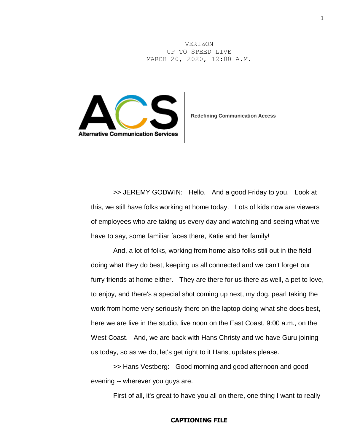VERIZON UP TO SPEED LIVE MARCH 20, 2020, 12:00 A.M.



**Redefining Communication Access**

>> JEREMY GODWIN: Hello. And a good Friday to you. Look at this, we still have folks working at home today. Lots of kids now are viewers of employees who are taking us every day and watching and seeing what we have to say, some familiar faces there, Katie and her family!

And, a lot of folks, working from home also folks still out in the field doing what they do best, keeping us all connected and we can't forget our furry friends at home either. They are there for us there as well, a pet to love, to enjoy, and there's a special shot coming up next, my dog, pearl taking the work from home very seriously there on the laptop doing what she does best, here we are live in the studio, live noon on the East Coast, 9:00 a.m., on the West Coast. And, we are back with Hans Christy and we have Guru joining us today, so as we do, let's get right to it Hans, updates please.

>> Hans Vestberg: Good morning and good afternoon and good evening -- wherever you guys are.

First of all, it's great to have you all on there, one thing I want to really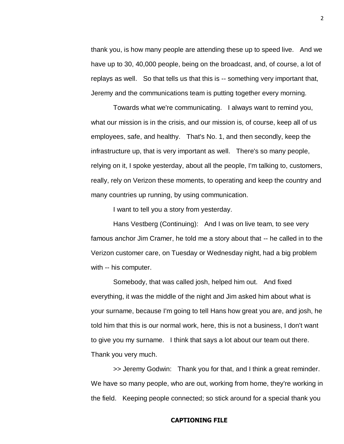thank you, is how many people are attending these up to speed live. And we have up to 30, 40,000 people, being on the broadcast, and, of course, a lot of replays as well. So that tells us that this is -- something very important that, Jeremy and the communications team is putting together every morning.

Towards what we're communicating. I always want to remind you, what our mission is in the crisis, and our mission is, of course, keep all of us employees, safe, and healthy. That's No. 1, and then secondly, keep the infrastructure up, that is very important as well. There's so many people, relying on it, I spoke yesterday, about all the people, I'm talking to, customers, really, rely on Verizon these moments, to operating and keep the country and many countries up running, by using communication.

I want to tell you a story from yesterday.

Hans Vestberg (Continuing): And I was on live team, to see very famous anchor Jim Cramer, he told me a story about that -- he called in to the Verizon customer care, on Tuesday or Wednesday night, had a big problem with -- his computer.

Somebody, that was called josh, helped him out. And fixed everything, it was the middle of the night and Jim asked him about what is your surname, because I'm going to tell Hans how great you are, and josh, he told him that this is our normal work, here, this is not a business, I don't want to give you my surname. I think that says a lot about our team out there. Thank you very much.

>> Jeremy Godwin: Thank you for that, and I think a great reminder. We have so many people, who are out, working from home, they're working in the field. Keeping people connected; so stick around for a special thank you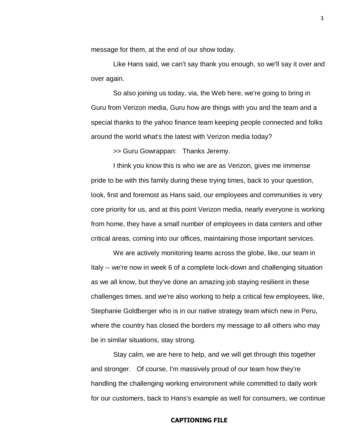message for them, at the end of our show today.

Like Hans said, we can't say thank you enough, so we'll say it over and over again.

So also joining us today, via, the Web here, we're going to bring in Guru from Verizon media, Guru how are things with you and the team and a special thanks to the yahoo finance team keeping people connected and folks around the world what's the latest with Verizon media today?

>> Guru Gowrappan: Thanks Jeremy.

I think you know this is who we are as Verizon, gives me immense pride to be with this family during these trying times, back to your question, look, first and foremost as Hans said, our employees and communities is very core priority for us, and at this point Verizon media, nearly everyone is working from home, they have a small number of employees in data centers and other critical areas, coming into our offices, maintaining those important services.

We are actively monitoring teams across the globe, like, our team in Italy -- we're now in week 6 of a complete lock-down and challenging situation as we all know, but they've done an amazing job staying resilient in these challenges times, and we're also working to help a critical few employees, like, Stephanie Goldberger who is in our native strategy team which new in Peru, where the country has closed the borders my message to all others who may be in similar situations, stay strong.

Stay calm, we are here to help, and we will get through this together and stronger. Of course, I'm massively proud of our team how they're handling the challenging working environment while committed to daily work for our customers, back to Hans's example as well for consumers, we continue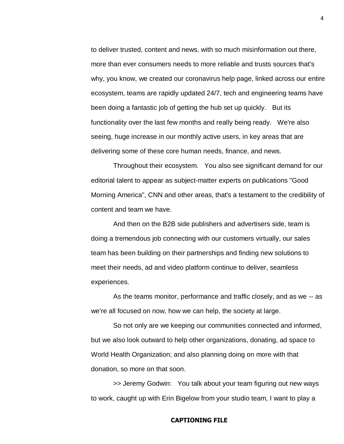to deliver trusted, content and news, with so much misinformation out there, more than ever consumers needs to more reliable and trusts sources that's why, you know, we created our coronavirus help page, linked across our entire ecosystem, teams are rapidly updated 24/7, tech and engineering teams have been doing a fantastic job of getting the hub set up quickly. But its functionality over the last few months and really being ready. We're also seeing, huge increase in our monthly active users, in key areas that are delivering some of these core human needs, finance, and news.

Throughout their ecosystem. You also see significant demand for our editorial talent to appear as subject-matter experts on publications "Good Morning America", CNN and other areas, that's a testament to the credibility of content and team we have.

And then on the B2B side publishers and advertisers side, team is doing a tremendous job connecting with our customers virtually, our sales team has been building on their partnerships and finding new solutions to meet their needs, ad and video platform continue to deliver, seamless experiences.

As the teams monitor, performance and traffic closely, and as we -- as we're all focused on now, how we can help, the society at large.

So not only are we keeping our communities connected and informed, but we also look outward to help other organizations, donating, ad space to World Health Organization; and also planning doing on more with that donation, so more on that soon.

>> Jeremy Godwin: You talk about your team figuring out new ways to work, caught up with Erin Bigelow from your studio team, I want to play a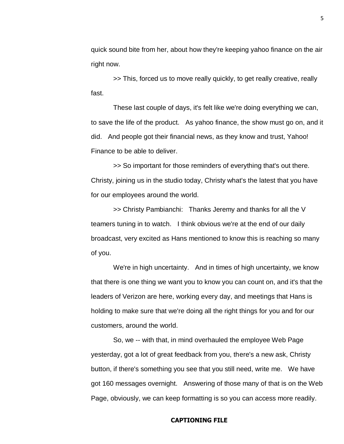quick sound bite from her, about how they're keeping yahoo finance on the air right now.

>> This, forced us to move really quickly, to get really creative, really fast.

These last couple of days, it's felt like we're doing everything we can, to save the life of the product. As yahoo finance, the show must go on, and it did. And people got their financial news, as they know and trust, Yahoo! Finance to be able to deliver.

>> So important for those reminders of everything that's out there. Christy, joining us in the studio today, Christy what's the latest that you have for our employees around the world.

>> Christy Pambianchi: Thanks Jeremy and thanks for all the V teamers tuning in to watch. I think obvious we're at the end of our daily broadcast, very excited as Hans mentioned to know this is reaching so many of you.

We're in high uncertainty. And in times of high uncertainty, we know that there is one thing we want you to know you can count on, and it's that the leaders of Verizon are here, working every day, and meetings that Hans is holding to make sure that we're doing all the right things for you and for our customers, around the world.

So, we -- with that, in mind overhauled the employee Web Page yesterday, got a lot of great feedback from you, there's a new ask, Christy button, if there's something you see that you still need, write me. We have got 160 messages overnight. Answering of those many of that is on the Web Page, obviously, we can keep formatting is so you can access more readily.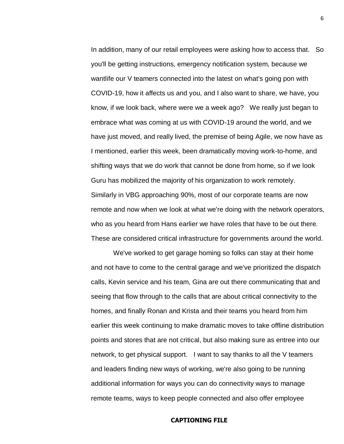In addition, many of our retail employees were asking how to access that. So you'll be getting instructions, emergency notification system, because we wantlife our V teamers connected into the latest on what's going pon with COVID-19, how it affects us and you, and I also want to share, we have, you know, if we look back, where were we a week ago? We really just began to embrace what was coming at us with COVID-19 around the world, and we have just moved, and really lived, the premise of being Agile, we now have as I mentioned, earlier this week, been dramatically moving work-to-home, and shifting ways that we do work that cannot be done from home, so if we look Guru has mobilized the majority of his organization to work remotely. Similarly in VBG approaching 90%, most of our corporate teams are now remote and now when we look at what we're doing with the network operators, who as you heard from Hans earlier we have roles that have to be out there. These are considered critical infrastructure for governments around the world.

We've worked to get garage homing so folks can stay at their home and not have to come to the central garage and we've prioritized the dispatch calls, Kevin service and his team, Gina are out there communicating that and seeing that flow through to the calls that are about critical connectivity to the homes, and finally Ronan and Krista and their teams you heard from him earlier this week continuing to make dramatic moves to take offline distribution points and stores that are not critical, but also making sure as entree into our network, to get physical support. I want to say thanks to all the V teamers and leaders finding new ways of working, we're also going to be running additional information for ways you can do connectivity ways to manage remote teams, ways to keep people connected and also offer employee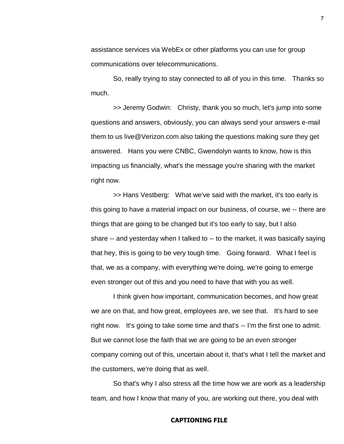assistance services via WebEx or other platforms you can use for group communications over telecommunications.

So, really trying to stay connected to all of you in this time. Thanks so much.

>> Jeremy Godwin: Christy, thank you so much, let's jump into some questions and answers, obviously, you can always send your answers e-mail them to us live@Verizon.com also taking the questions making sure they get answered. Hans you were CNBC, Gwendolyn wants to know, how is this impacting us financially, what's the message you're sharing with the market right now.

>> Hans Vestberg: What we've said with the market, it's too early is this going to have a material impact on our business, of course, we -- there are things that are going to be changed but it's too early to say, but I also share -- and yesterday when I talked to -- to the market, it was basically saying that hey, this is going to be very tough time. Going forward. What I feel is that, we as a company, with everything we're doing, we're going to emerge even stronger out of this and you need to have that with you as well.

I think given how important, communication becomes, and how great we are on that, and how great, employees are, we see that. It's hard to see right now. It's going to take some time and that's -- I'm the first one to admit. But we cannot lose the faith that we are going to be an even stronger company coming out of this, uncertain about it, that's what I tell the market and the customers, we're doing that as well.

So that's why I also stress all the time how we are work as a leadership team, and how I know that many of you, are working out there, you deal with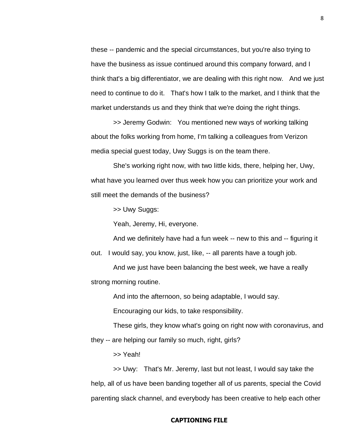these -- pandemic and the special circumstances, but you're also trying to have the business as issue continued around this company forward, and I think that's a big differentiator, we are dealing with this right now. And we just need to continue to do it. That's how I talk to the market, and I think that the market understands us and they think that we're doing the right things.

>> Jeremy Godwin: You mentioned new ways of working talking about the folks working from home, I'm talking a colleagues from Verizon media special guest today, Uwy Suggs is on the team there.

She's working right now, with two little kids, there, helping her, Uwy, what have you learned over thus week how you can prioritize your work and still meet the demands of the business?

>> Uwy Suggs:

Yeah, Jeremy, Hi, everyone.

And we definitely have had a fun week -- new to this and -- figuring it

out. I would say, you know, just, like, -- all parents have a tough job.

And we just have been balancing the best week, we have a really strong morning routine.

And into the afternoon, so being adaptable, I would say.

Encouraging our kids, to take responsibility.

These girls, they know what's going on right now with coronavirus, and they -- are helping our family so much, right, girls?

>> Yeah!

>> Uwy: That's Mr. Jeremy, last but not least, I would say take the help, all of us have been banding together all of us parents, special the Covid parenting slack channel, and everybody has been creative to help each other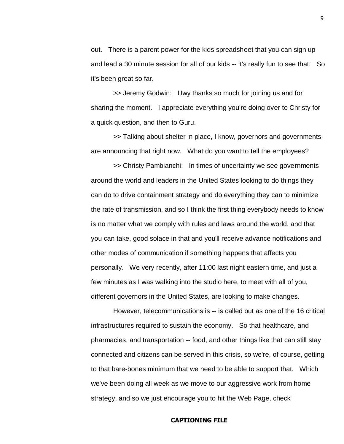out. There is a parent power for the kids spreadsheet that you can sign up and lead a 30 minute session for all of our kids -- it's really fun to see that. So it's been great so far.

>> Jeremy Godwin: Uwy thanks so much for joining us and for sharing the moment. I appreciate everything you're doing over to Christy for a quick question, and then to Guru.

>> Talking about shelter in place, I know, governors and governments are announcing that right now. What do you want to tell the employees?

>> Christy Pambianchi: In times of uncertainty we see governments around the world and leaders in the United States looking to do things they can do to drive containment strategy and do everything they can to minimize the rate of transmission, and so I think the first thing everybody needs to know is no matter what we comply with rules and laws around the world, and that you can take, good solace in that and you'll receive advance notifications and other modes of communication if something happens that affects you personally. We very recently, after 11:00 last night eastern time, and just a few minutes as I was walking into the studio here, to meet with all of you, different governors in the United States, are looking to make changes.

However, telecommunications is -- is called out as one of the 16 critical infrastructures required to sustain the economy. So that healthcare, and pharmacies, and transportation -- food, and other things like that can still stay connected and citizens can be served in this crisis, so we're, of course, getting to that bare-bones minimum that we need to be able to support that. Which we've been doing all week as we move to our aggressive work from home strategy, and so we just encourage you to hit the Web Page, check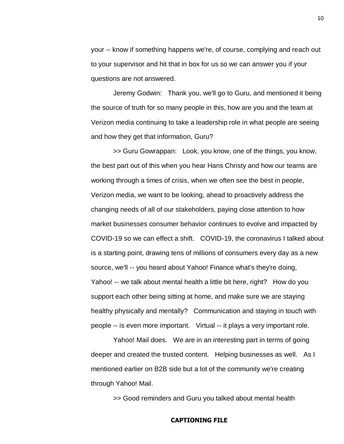your -- know if something happens we're, of course, complying and reach out to your supervisor and hit that in box for us so we can answer you if your questions are not answered.

Jeremy Godwin: Thank you, we'll go to Guru, and mentioned it being the source of truth for so many people in this, how are you and the team at Verizon media continuing to take a leadership role in what people are seeing and how they get that information, Guru?

>> Guru Gowrappan: Look, you know, one of the things, you know, the best part out of this when you hear Hans Christy and how our teams are working through a times of crisis, when we often see the best in people, Verizon media, we want to be looking, ahead to proactively address the changing needs of all of our stakeholders, paying close attention to how market businesses consumer behavior continues to evolve and impacted by COVID-19 so we can effect a shift. COVID-19, the coronavirus I talked about is a starting point, drawing tens of millions of consumers every day as a new source, we'll -- you heard about Yahoo! Finance what's they're doing, Yahoo! -- we talk about mental health a little bit here, right? How do you support each other being sitting at home, and make sure we are staying healthy physically and mentally? Communication and staying in touch with people -- is even more important. Virtual -- it plays a very important role.

Yahoo! Mail does. We are in an interesting part in terms of going deeper and created the trusted content. Helping businesses as well. As I mentioned earlier on B2B side but a lot of the community we're creating through Yahoo! Mail.

>> Good reminders and Guru you talked about mental health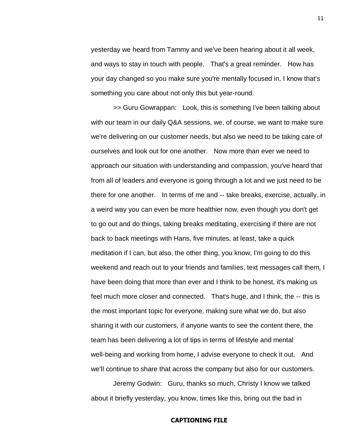yesterday we heard from Tammy and we've been hearing about it all week, and ways to stay in touch with people. That's a great reminder. How has your day changed so you make sure you're mentally focused in, I know that's something you care about not only this but year-round.

>> Guru Gowrappan: Look, this is something I've been talking about with our team in our daily Q&A sessions, we, of course, we want to make sure we're delivering on our customer needs, but also we need to be taking care of ourselves and look out for one another. Now more than ever we need to approach our situation with understanding and compassion, you've heard that from all of leaders and everyone is going through a lot and we just need to be there for one another. In terms of me and -- take breaks, exercise, actually, in a weird way you can even be more healthier now, even though you don't get to go out and do things, taking breaks meditating, exercising if there are not back to back meetings with Hans, five minutes, at least, take a quick meditation if I can, but also, the other thing, you know, I'm going to do this weekend and reach out to your friends and families, text messages call them, I have been doing that more than ever and I think to be honest, it's making us feel much more closer and connected. That's huge, and I think, the -- this is the most important topic for everyone, making sure what we do, but also sharing it with our customers, if anyone wants to see the content there, the team has been delivering a lot of tips in terms of lifestyle and mental well-being and working from home, I advise everyone to check it out. And we'll continue to share that across the company but also for our customers.

Jeremy Godwin: Guru, thanks so much, Christy I know we talked about it briefly yesterday, you know, times like this, bring out the bad in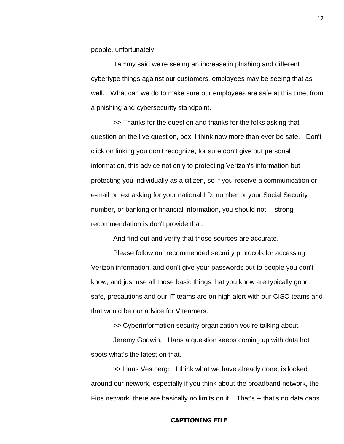people, unfortunately.

Tammy said we're seeing an increase in phishing and different cybertype things against our customers, employees may be seeing that as well. What can we do to make sure our employees are safe at this time, from a phishing and cybersecurity standpoint.

>> Thanks for the question and thanks for the folks asking that question on the live question, box, I think now more than ever be safe. Don't click on linking you don't recognize, for sure don't give out personal information, this advice not only to protecting Verizon's information but protecting you individually as a citizen, so if you receive a communication or e-mail or text asking for your national I.D. number or your Social Security number, or banking or financial information, you should not -- strong recommendation is don't provide that.

And find out and verify that those sources are accurate.

Please follow our recommended security protocols for accessing Verizon information, and don't give your passwords out to people you don't know, and just use all those basic things that you know are typically good, safe, precautions and our IT teams are on high alert with our CISO teams and that would be our advice for V teamers.

>> Cyberinformation security organization you're talking about. Jeremy Godwin. Hans a question keeps coming up with data hot spots what's the latest on that.

>> Hans Vestberg: I think what we have already done, is looked around our network, especially if you think about the broadband network, the Fios network, there are basically no limits on it. That's -- that's no data caps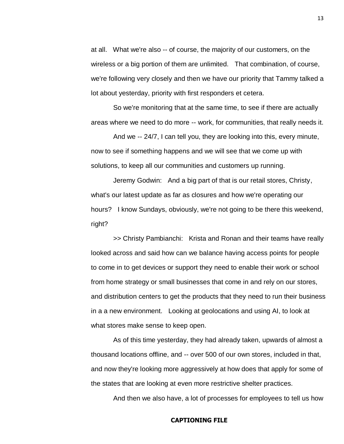at all. What we're also -- of course, the majority of our customers, on the wireless or a big portion of them are unlimited. That combination, of course, we're following very closely and then we have our priority that Tammy talked a lot about yesterday, priority with first responders et cetera.

So we're monitoring that at the same time, to see if there are actually areas where we need to do more -- work, for communities, that really needs it.

And we -- 24/7, I can tell you, they are looking into this, every minute, now to see if something happens and we will see that we come up with solutions, to keep all our communities and customers up running.

Jeremy Godwin: And a big part of that is our retail stores, Christy, what's our latest update as far as closures and how we're operating our hours? I know Sundays, obviously, we're not going to be there this weekend, right?

>> Christy Pambianchi: Krista and Ronan and their teams have really looked across and said how can we balance having access points for people to come in to get devices or support they need to enable their work or school from home strategy or small businesses that come in and rely on our stores, and distribution centers to get the products that they need to run their business in a a new environment. Looking at geolocations and using AI, to look at what stores make sense to keep open.

As of this time yesterday, they had already taken, upwards of almost a thousand locations offline, and -- over 500 of our own stores, included in that, and now they're looking more aggressively at how does that apply for some of the states that are looking at even more restrictive shelter practices.

And then we also have, a lot of processes for employees to tell us how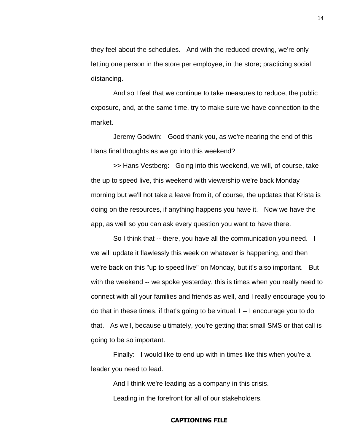they feel about the schedules. And with the reduced crewing, we're only letting one person in the store per employee, in the store; practicing social distancing.

And so I feel that we continue to take measures to reduce, the public exposure, and, at the same time, try to make sure we have connection to the market.

Jeremy Godwin: Good thank you, as we're nearing the end of this Hans final thoughts as we go into this weekend?

>> Hans Vestberg: Going into this weekend, we will, of course, take the up to speed live, this weekend with viewership we're back Monday morning but we'll not take a leave from it, of course, the updates that Krista is doing on the resources, if anything happens you have it. Now we have the app, as well so you can ask every question you want to have there.

So I think that -- there, you have all the communication you need. I we will update it flawlessly this week on whatever is happening, and then we're back on this "up to speed live" on Monday, but it's also important. But with the weekend -- we spoke yesterday, this is times when you really need to connect with all your families and friends as well, and I really encourage you to do that in these times, if that's going to be virtual, I -- I encourage you to do that. As well, because ultimately, you're getting that small SMS or that call is going to be so important.

Finally: I would like to end up with in times like this when you're a leader you need to lead.

And I think we're leading as a company in this crisis. Leading in the forefront for all of our stakeholders.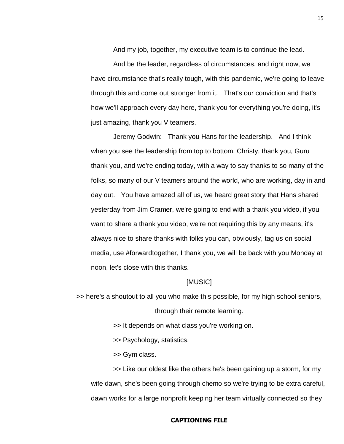And my job, together, my executive team is to continue the lead. And be the leader, regardless of circumstances, and right now, we have circumstance that's really tough, with this pandemic, we're going to leave through this and come out stronger from it. That's our conviction and that's how we'll approach every day here, thank you for everything you're doing, it's just amazing, thank you V teamers.

Jeremy Godwin: Thank you Hans for the leadership. And I think when you see the leadership from top to bottom, Christy, thank you, Guru thank you, and we're ending today, with a way to say thanks to so many of the folks, so many of our V teamers around the world, who are working, day in and day out. You have amazed all of us, we heard great story that Hans shared yesterday from Jim Cramer, we're going to end with a thank you video, if you want to share a thank you video, we're not requiring this by any means, it's always nice to share thanks with folks you can, obviously, tag us on social media, use #forwardtogether, I thank you, we will be back with you Monday at noon, let's close with this thanks.

#### [MUSIC]

>> here's a shoutout to all you who make this possible, for my high school seniors,

through their remote learning.

>> It depends on what class you're working on.

>> Psychology, statistics.

>> Gym class.

>> Like our oldest like the others he's been gaining up a storm, for my wife dawn, she's been going through chemo so we're trying to be extra careful, dawn works for a large nonprofit keeping her team virtually connected so they